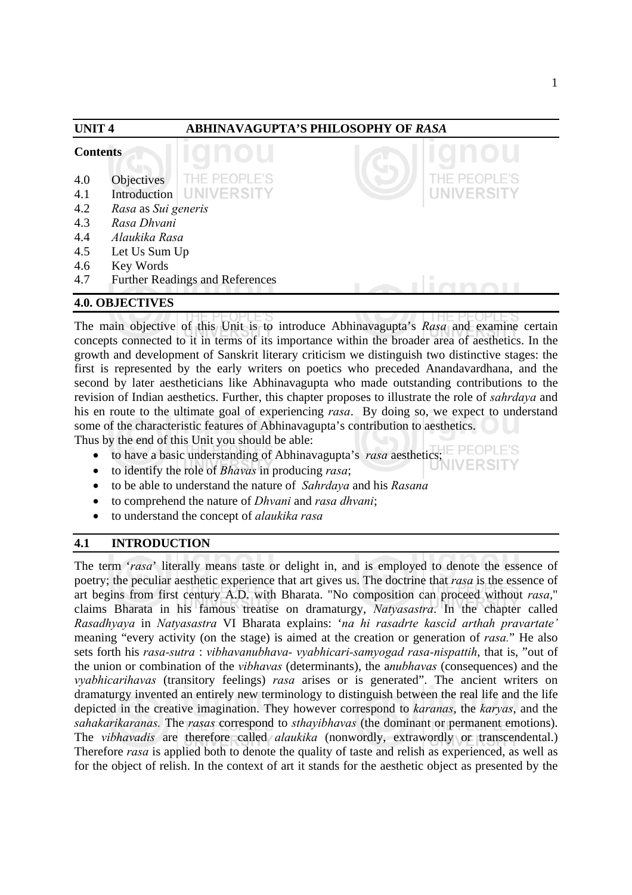| <b>UNIT4</b><br><b>Contents</b> |                     | ABHINAVAGUPTA'S PHILOSOPHY OF RASA     |  |                    |  |
|---------------------------------|---------------------|----------------------------------------|--|--------------------|--|
|                                 |                     |                                        |  |                    |  |
| 4.0                             | Objectives          | THE PEOPLE'S                           |  | <b>HE PEOPLE'S</b> |  |
| 4.1                             | Introduction        | <b>UNIVERSITY</b>                      |  | <b>UNIVERSITY</b>  |  |
| 4.2                             | Rasa as Sui generis |                                        |  |                    |  |
| 4.3                             | Rasa Dhvani         |                                        |  |                    |  |
| 4.4                             | Alaukika Rasa       |                                        |  |                    |  |
| 4.5                             | Let Us Sum Up       |                                        |  |                    |  |
| 4.6                             | Key Words           |                                        |  |                    |  |
| 4.7                             |                     | <b>Further Readings and References</b> |  |                    |  |

#### **4.0. OBJECTIVES**

The main objective of this Unit is to introduce Abhinavagupta's *Rasa* and examine certain concepts connected to it in terms of its importance within the broader area of aesthetics. In the growth and development of Sanskrit literary criticism we distinguish two distinctive stages: the first is represented by the early writers on poetics who preceded Anandavardhana, and the second by later aestheticians like Abhinavagupta who made outstanding contributions to the revision of Indian aesthetics. Further, this chapter proposes to illustrate the role of *sahrdaya* and his en route to the ultimate goal of experiencing *rasa*. By doing so, we expect to understand some of the characteristic features of Abhinavagupta's contribution to aesthetics.

Thus by the end of this Unit you should be able:

- to have a basic understanding of Abhinavagupta's *rasa* aesthetics;
- to identify the role of *Bhavas* in producing *rasa*;
- to be able to understand the nature of *Sahrdaya* and his *Rasana*
- to comprehend the nature of *Dhvani* and *rasa dhvani*;
- to understand the concept of *alaukika rasa*

# **4.1 INTRODUCTION**

The term '*rasa*' literally means taste or delight in, and is employed to denote the essence of poetry; the peculiar aesthetic experience that art gives us. The doctrine that *rasa* is the essence of art begins from first century A.D. with Bharata. "No composition can proceed without *rasa*," claims Bharata in his famous treatise on dramaturgy, *Natyasastra*. In the chapter called *Rasadhyaya* in *Natyasastra* VI Bharata explains: '*na hi rasadrte kascid arthah pravartate'*  meaning "every activity (on the stage) is aimed at the creation or generation of *rasa.*" He also sets forth his *rasa-sutra* : *vibhavanubhava- vyabhicari-samyogad rasa-nispattih*, that is, "out of the union or combination of the *vibhavas* (determinants), the a*nubhavas* (consequences) and the *vyabhicarihavas* (transitory feelings) *rasa* arises or is generated". The ancient writers on dramaturgy invented an entirely new terminology to distinguish between the real life and the life depicted in the creative imagination. They however correspond to *karanas*, the *karyas*, and the *sahakarikaranas.* The *rasas* correspond to *sthayibhavas* (the dominant or permanent emotions). The *vibhavadis* are therefore called *alaukika* (nonwordly, extrawordly or transcendental.) Therefore *rasa* is applied both to denote the quality of taste and relish as experienced, as well as for the object of relish. In the context of art it stands for the aesthetic object as presented by the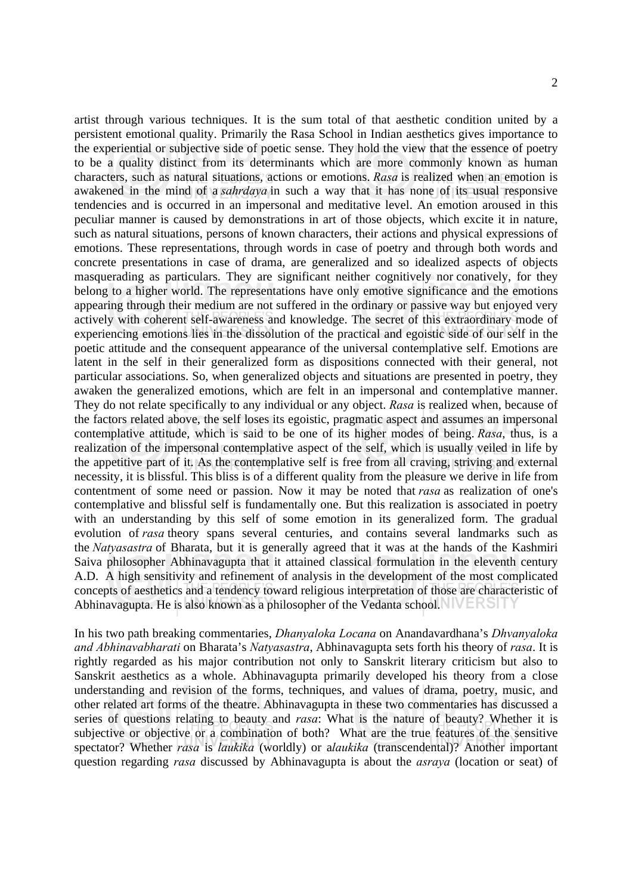2

artist through various techniques. It is the sum total of that aesthetic condition united by a persistent emotional quality. Primarily the Rasa School in Indian aesthetics gives importance to the experiential or subjective side of poetic sense. They hold the view that the essence of poetry to be a quality distinct from its determinants which are more commonly known as human characters, such as natural situations, actions or emotions. *Rasa* is realized when an emotion is awakened in the mind of a *sahrdaya* in such a way that it has none of its usual responsive tendencies and is occurred in an impersonal and meditative level. An emotion aroused in this peculiar manner is caused by demonstrations in art of those objects, which excite it in nature, such as natural situations, persons of known characters, their actions and physical expressions of emotions. These representations, through words in case of poetry and through both words and concrete presentations in case of drama, are generalized and so idealized aspects of objects masquerading as particulars. They are significant neither cognitively nor conatively, for they belong to a higher world. The representations have only emotive significance and the emotions appearing through their medium are not suffered in the ordinary or passive way but enjoyed very actively with coherent self-awareness and knowledge. The secret of this extraordinary mode of experiencing emotions lies in the dissolution of the practical and egoistic side of our self in the poetic attitude and the consequent appearance of the universal contemplative self. Emotions are latent in the self in their generalized form as dispositions connected with their general, not particular associations. So, when generalized objects and situations are presented in poetry, they awaken the generalized emotions, which are felt in an impersonal and contemplative manner. They do not relate specifically to any individual or any object. *Rasa* is realized when, because of the factors related above, the self loses its egoistic, pragmatic aspect and assumes an impersonal contemplative attitude, which is said to be one of its higher modes of being. *Rasa*, thus, is a realization of the impersonal contemplative aspect of the self, which is usually veiled in life by the appetitive part of it. As the contemplative self is free from all craving, striving and external necessity, it is blissful. This bliss is of a different quality from the pleasure we derive in life from contentment of some need or passion. Now it may be noted that *rasa* as realization of one's contemplative and blissful self is fundamentally one. But this realization is associated in poetry with an understanding by this self of some emotion in its generalized form. The gradual evolution of *rasa* theory spans several centuries, and contains several landmarks such as the *Natyasastra* of Bharata, but it is generally agreed that it was at the hands of the Kashmiri Saiva philosopher Abhinavagupta that it attained classical formulation in the eleventh century A.D. A high sensitivity and refinement of analysis in the development of the most complicated concepts of aesthetics and a tendency toward religious interpretation of those are characteristic of Abhinavagupta. He is also known as a philosopher of the Vedanta school.

In his two path breaking commentaries, *Dhanyaloka Locana* on Anandavardhana's *Dhvanyaloka and Abhinavabharati* on Bharata's *Natyasastra*, Abhinavagupta sets forth his theory of *rasa*. It is rightly regarded as his major contribution not only to Sanskrit literary criticism but also to Sanskrit aesthetics as a whole. Abhinavagupta primarily developed his theory from a close understanding and revision of the forms, techniques, and values of drama, poetry, music, and other related art forms of the theatre. Abhinavagupta in these two commentaries has discussed a series of questions relating to beauty and *rasa*: What is the nature of beauty? Whether it is subjective or objective or a combination of both? What are the true features of the sensitive spectator? Whether *rasa* is *laukika* (worldly) or a*laukika* (transcendental)? Another important question regarding *rasa* discussed by Abhinavagupta is about the *asraya* (location or seat) of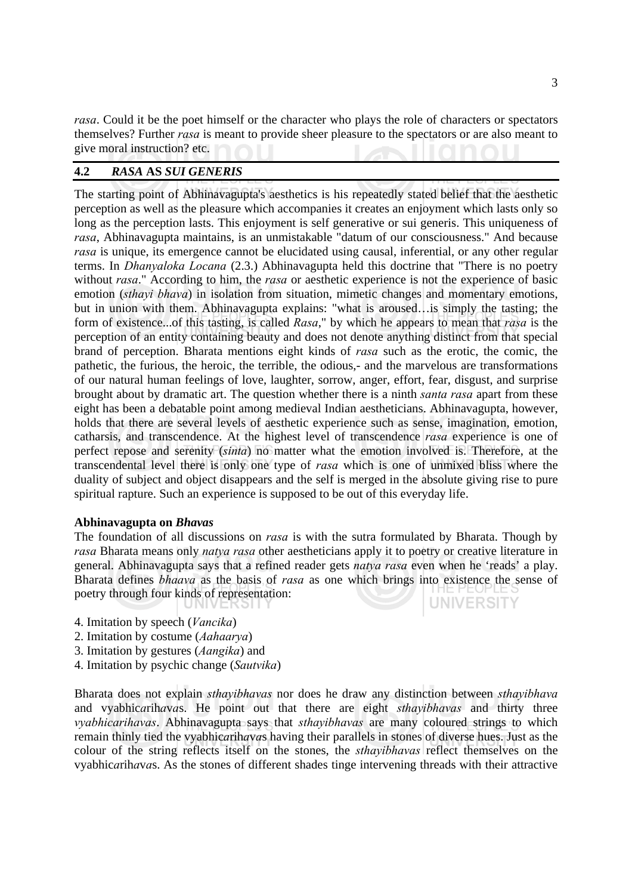*rasa*. Could it be the poet himself or the character who plays the role of characters or spectators themselves? Further *rasa* is meant to provide sheer pleasure to the spectators or are also meant to give moral instruction? etc.

#### **4.2** *RASA* **AS** *SUI GENERIS*

The starting point of Abhinavagupta's aesthetics is his repeatedly stated belief that the aesthetic perception as well as the pleasure which accompanies it creates an enjoyment which lasts only so long as the perception lasts. This enjoyment is self generative or sui generis. This uniqueness of *rasa*, Abhinavagupta maintains, is an unmistakable "datum of our consciousness." And because *rasa* is unique, its emergence cannot be elucidated using causal, inferential, or any other regular terms. In *Dhanyaloka Locana* (2.3.) Abhinavagupta held this doctrine that "There is no poetry without *rasa*." According to him, the *rasa* or aesthetic experience is not the experience of basic emotion (*sthayi bhava*) in isolation from situation, mimetic changes and momentary emotions, but in union with them. Abhinavagupta explains: "what is aroused…is simply the tasting; the form of existence...of this tasting, is called *Rasa*," by which he appears to mean that *rasa* is the perception of an entity containing beauty and does not denote anything distinct from that special brand of perception. Bharata mentions eight kinds of *rasa* such as the erotic, the comic, the pathetic, the furious, the heroic, the terrible, the odious,- and the marvelous are transformations of our natural human feelings of love, laughter, sorrow, anger, effort, fear, disgust, and surprise brought about by dramatic art. The question whether there is a ninth *santa rasa* apart from these eight has been a debatable point among medieval Indian aestheticians. Abhinavagupta, however, holds that there are several levels of aesthetic experience such as sense, imagination, emotion, catharsis, and transcendence. At the highest level of transcendence *rasa* experience is one of perfect repose and serenity (*sinta*) no matter what the emotion involved is. Therefore, at the transcendental level there is only one type of *rasa* which is one of unmixed bliss where the duality of subject and object disappears and the self is merged in the absolute giving rise to pure spiritual rapture. Such an experience is supposed to be out of this everyday life.

#### **Abhinavagupta on** *Bhavas*

The foundation of all discussions on *rasa* is with the sutra formulated by Bharata. Though by *rasa* Bharata means only *natya rasa* other aestheticians apply it to poetry or creative literature in general. Abhinavagupta says that a refined reader gets *natya rasa* even when he 'reads' a play. Bharata defines *bhaava* as the basis of *rasa* as one which brings into existence the sense of poetry through four kinds of representation: **UNIVERSITY** 

- 4. Imitation by speech (*Vancika*)
- 2. Imitation by costume (*Aahaarya*)
- 3. Imitation by gestures (*Aangika*) and
- 4. Imitation by psychic change (*Sautvika*)

Bharata does not explain *sthayibhavas* nor does he draw any distinction between *sthayibhava* and vyabhic*a*rih*a*v*a*s. He point out that there are eight *sthayibhavas* and thirty three *vyabhicarihavas*. Abhinavagupta says that *sthayibhavas* are many coloured strings to which remain thinly tied the vyabhic*a*rih*a*v*a*s having their parallels in stones of diverse hues. Just as the colour of the string reflects itself on the stones, the *sthayibhavas* reflect themselves on the vyabhic*a*rih*a*v*a*s. As the stones of different shades tinge intervening threads with their attractive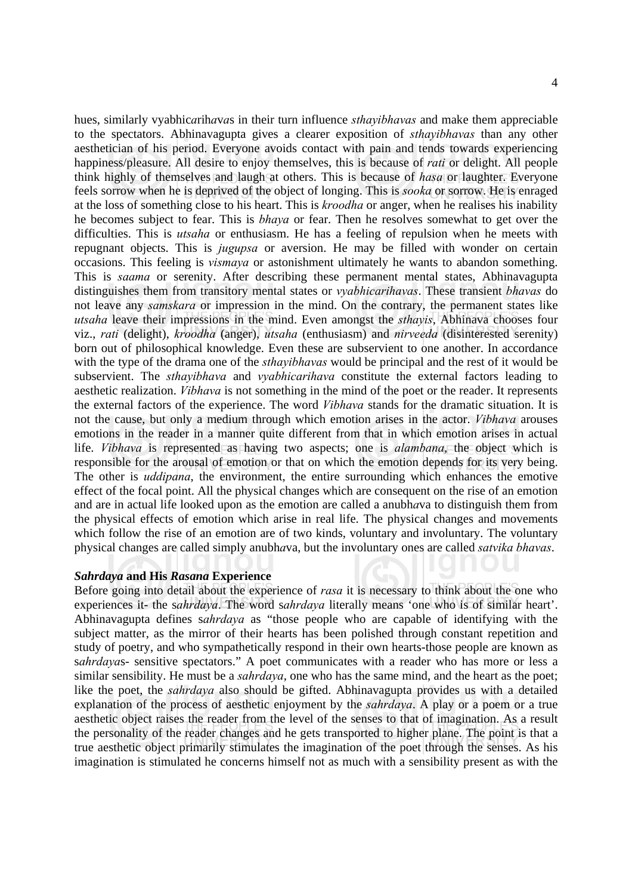hues, similarly vyabhic*a*rih*a*v*a*s in their turn influence *sthayibhavas* and make them appreciable to the spectators. Abhinavagupta gives a clearer exposition of *sthayibhavas* than any other aesthetician of his period. Everyone avoids contact with pain and tends towards experiencing happiness/pleasure. All desire to enjoy themselves, this is because of *rati* or delight. All people think highly of themselves and laugh at others. This is because of *hasa* or laughter. Everyone feels sorrow when he is deprived of the object of longing. This is *sooka* or sorrow. He is enraged at the loss of something close to his heart. This is *kroodha* or anger, when he realises his inability he becomes subject to fear. This is *bhaya* or fear. Then he resolves somewhat to get over the difficulties. This is *utsaha* or enthusiasm. He has a feeling of repulsion when he meets with repugnant objects. This is *jugupsa* or aversion. He may be filled with wonder on certain occasions. This feeling is *vismaya* or astonishment ultimately he wants to abandon something. This is *saama* or serenity. After describing these permanent mental states, Abhinavagupta distinguishes them from transitory mental states or *vyabhicarihavas*. These transient *bhavas* do not leave any *samskara* or impression in the mind. On the contrary, the permanent states like *utsaha* leave their impressions in the mind. Even amongst the *sthayis*, Abhinava chooses four viz., *rati* (delight), *kroodha* (anger), *utsaha* (enthusiasm) and *nirveeda* (disinterested serenity) born out of philosophical knowledge. Even these are subservient to one another. In accordance with the type of the drama one of the *sthayibhavas* would be principal and the rest of it would be subservient. The *sthayibhava* and *vyabhicarihava* constitute the external factors leading to aesthetic realization. *Vibhava* is not something in the mind of the poet or the reader. It represents the external factors of the experience. The word *Vibhava* stands for the dramatic situation. It is not the cause, but only a medium through which emotion arises in the actor. *Vibhava* arouses emotions in the reader in a manner quite different from that in which emotion arises in actual life. *Vibhava* is represented as having two aspects; one is *alambana*, the object which is responsible for the arousal of emotion or that on which the emotion depends for its very being. The other is *uddipana*, the environment, the entire surrounding which enhances the emotive effect of the focal point. All the physical changes which are consequent on the rise of an emotion and are in actual life looked upon as the emotion are called a anubh*a*va to distinguish them from the physical effects of emotion which arise in real life. The physical changes and movements which follow the rise of an emotion are of two kinds, voluntary and involuntary. The voluntary physical changes are called simply anubh*a*va, but the involuntary ones are called *satvika bhavas*.

#### *Sahrdaya* **and His** *Rasana* **Experience**

Before going into detail about the experience of *rasa* it is necessary to think about the one who experiences it- the s*ahrdaya*. The word s*ahrdaya* literally means 'one who is of similar heart'. Abhinavagupta defines s*ahrdaya* as "those people who are capable of identifying with the subject matter, as the mirror of their hearts has been polished through constant repetition and study of poetry, and who sympathetically respond in their own hearts-those people are known as s*ahrdaya*s- sensitive spectators." A poet communicates with a reader who has more or less a similar sensibility. He must be a *sahrdaya*, one who has the same mind, and the heart as the poet; like the poet, the *sahrdaya* also should be gifted. Abhinavagupta provides us with a detailed explanation of the process of aesthetic enjoyment by the *sahrdaya*. A play or a poem or a true aesthetic object raises the reader from the level of the senses to that of imagination. As a result the personality of the reader changes and he gets transported to higher plane. The point is that a true aesthetic object primarily stimulates the imagination of the poet through the senses. As his imagination is stimulated he concerns himself not as much with a sensibility present as with the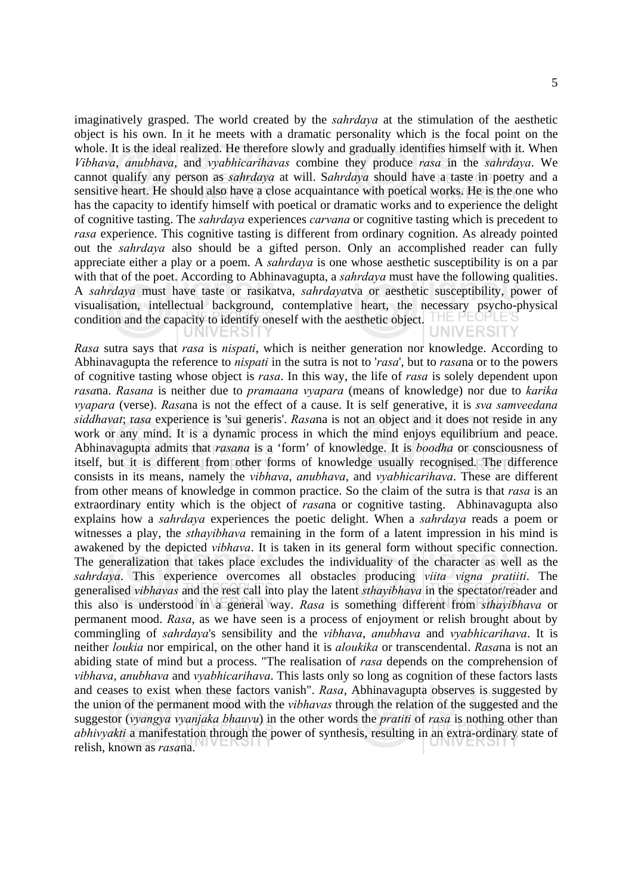imaginatively grasped. The world created by the *sahrdaya* at the stimulation of the aesthetic object is his own. In it he meets with a dramatic personality which is the focal point on the whole. It is the ideal realized. He therefore slowly and gradually identifies himself with it. When *Vibhava*, *anubhava*, and *vyabhicarihavas* combine they produce *rasa* in the *sahrdaya*. We cannot qualify any person as *sahrdaya* at will. S*ahrdaya* should have a taste in poetry and a sensitive heart. He should also have a close acquaintance with poetical works. He is the one who has the capacity to identify himself with poetical or dramatic works and to experience the delight of cognitive tasting. The *sahrdaya* experiences *carvana* or cognitive tasting which is precedent to *rasa* experience. This cognitive tasting is different from ordinary cognition. As already pointed out the *sahrdaya* also should be a gifted person. Only an accomplished reader can fully appreciate either a play or a poem. A *sahrdaya* is one whose aesthetic susceptibility is on a par with that of the poet. According to Abhinavagupta, a *sahrdaya* must have the following qualities. A *sahrdaya* must have taste or rasikatva, *sahrdaya*tva or aesthetic susceptibility, power of visualisation, intellectual background, contemplative heart, the necessary psycho-physical condition and the capacity to identify oneself with the aesthetic object. **UNIVERSITY** 

*Rasa* sutra says that *rasa* is *nispati*, which is neither generation nor knowledge. According to Abhinavagupta the reference to *nispati* in the sutra is not to '*rasa*', but to *rasa*na or to the powers of cognitive tasting whose object is *rasa*. In this way, the life of *rasa* is solely dependent upon *rasa*na. *Rasana* is neither due to *pramaana vyapara* (means of knowledge) nor due to *karika vyapara* (verse). *Rasa*na is not the effect of a cause. It is self generative, it is *sva samveedana siddhavat*; r*asa* experience is 'sui generis'. *Rasa*na is not an object and it does not reside in any work or any mind. It is a dynamic process in which the mind enjoys equilibrium and peace. Abhinavagupta admits that *rasana* is a 'form' of knowledge. It is *boodha* or consciousness of itself, but it is different from other forms of knowledge usually recognised. The difference consists in its means, namely the *vibhava*, *anubhava*, and *vyabhicarihava*. These are different from other means of knowledge in common practice. So the claim of the sutra is that *rasa* is an extraordinary entity which is the object of *rasa*na or cognitive tasting. Abhinavagupta also explains how a *sahrdaya* experiences the poetic delight. When a *sahrdaya* reads a poem or witnesses a play, the *sthayibhava* remaining in the form of a latent impression in his mind is awakened by the depicted *vibhava*. It is taken in its general form without specific connection. The generalization that takes place excludes the individuality of the character as well as the *sahrdaya*. This experience overcomes all obstacles producing *viita vigna pratiiti*. The generalised *vibhavas* and the rest call into play the latent *sthayibhava* in the spectator/reader and this also is understood in a general way. *Rasa* is something different from *sthayibhava* or permanent mood. *Rasa*, as we have seen is a process of enjoyment or relish brought about by commingling of *sahrdaya*'s sensibility and the *vibhava*, *anubhava* and *vyabhicarihava*. It is neither *loukia* nor empirical, on the other hand it is *aloukika* or transcendental. *Rasa*na is not an abiding state of mind but a process. "The realisation of *rasa* depends on the comprehension of *vibhava*, *anubhava* and *vyabhicarihava*. This lasts only so long as cognition of these factors lasts and ceases to exist when these factors vanish". *Rasa*, Abhinavagupta observes is suggested by the union of the permanent mood with the *vibhavas* through the relation of the suggested and the suggestor (*vyangya vyanjaka bhauvu*) in the other words the *pratiti* of *rasa* is nothing other than *abhivyakti* a manifestation through the power of synthesis, resulting in an extra-ordinary state of relish, known as *rasa*na.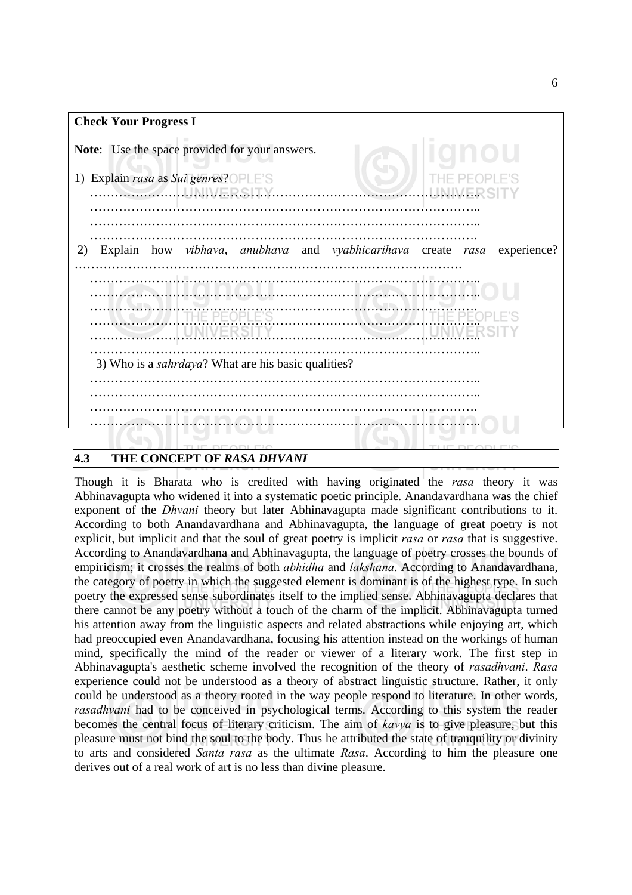

# **4.3 THE CONCEPT OF** *RASA DHVANI*

Though it is Bharata who is credited with having originated the *rasa* theory it was Abhinavagupta who widened it into a systematic poetic principle. Anandavardhana was the chief exponent of the *Dhvani* theory but later Abhinavagupta made significant contributions to it. According to both Anandavardhana and Abhinavagupta, the language of great poetry is not explicit, but implicit and that the soul of great poetry is implicit *rasa* or *rasa* that is suggestive. According to Anandavardhana and Abhinavagupta, the language of poetry crosses the bounds of empiricism; it crosses the realms of both *abhidha* and *lakshana*. According to Anandavardhana, the category of poetry in which the suggested element is dominant is of the highest type. In such poetry the expressed sense subordinates itself to the implied sense. Abhinavagupta declares that there cannot be any poetry without a touch of the charm of the implicit. Abhinavagupta turned his attention away from the linguistic aspects and related abstractions while enjoying art, which had preoccupied even Anandavardhana, focusing his attention instead on the workings of human mind, specifically the mind of the reader or viewer of a literary work. The first step in Abhinavagupta's aesthetic scheme involved the recognition of the theory of *rasadhvani*. *Rasa* experience could not be understood as a theory of abstract linguistic structure. Rather, it only could be understood as a theory rooted in the way people respond to literature. In other words, *rasadhvani* had to be conceived in psychological terms. According to this system the reader becomes the central focus of literary criticism. The aim of *kavya* is to give pleasure, but this pleasure must not bind the soul to the body. Thus he attributed the state of tranquility or divinity to arts and considered *Santa rasa* as the ultimate *Rasa*. According to him the pleasure one derives out of a real work of art is no less than divine pleasure.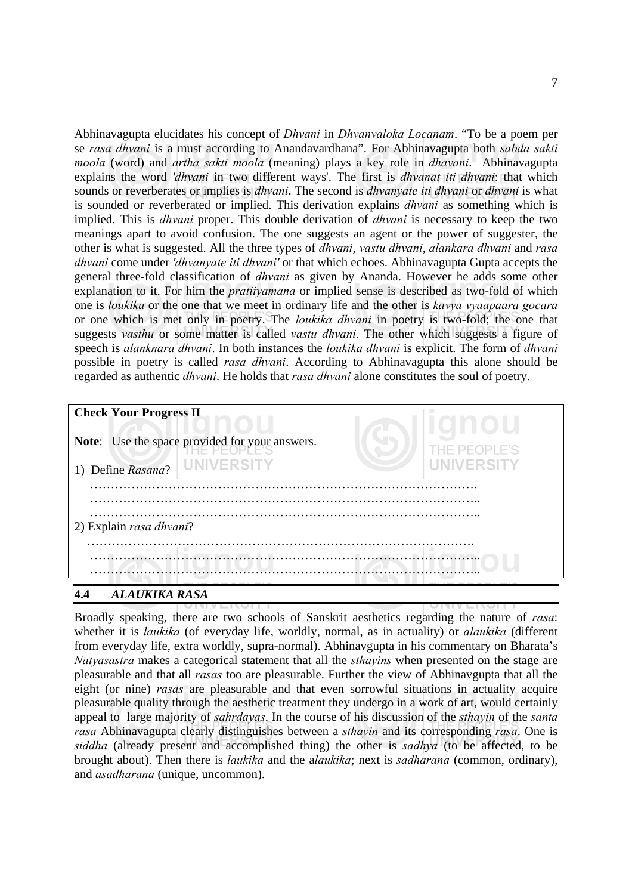Abhinavagupta elucidates his concept of *Dhvani* in *Dhvanvaloka Locanam*. "To be a poem per se *rasa dhvani* is a must according to Anandavardhana". For Abhinavagupta both *sabda sakti moola* (word) and *artha sakti moola* (meaning) plays a key role in *dhavani*. Abhinavagupta explains the word *'dhvani* in two different ways'. The first is *dhvanat iti dhvani*: that which sounds or reverberates or implies is *dhvani*. The second is *dhvanyate iti dhvani* or *dhvani* is what is sounded or reverberated or implied. This derivation explains *dhvani* as something which is implied. This is *dhvani* proper. This double derivation of *dhvani* is necessary to keep the two meanings apart to avoid confusion. The one suggests an agent or the power of suggester, the other is what is suggested. All the three types of *dhvani*, *vastu dhvani*, *alankara dhvani* and *rasa dhvani* come under *'dhvanyate iti dhvani'* or that which echoes. Abhinavagupta Gupta accepts the general three-fold classification of *dhvani* as given by Ananda. However he adds some other explanation to it. For him the *pratiiyamana* or implied sense is described as two-fold of which one is *loukika* or the one that we meet in ordinary life and the other is *kavya vyaapaara gocara* or one which is met only in poetry. The *loukika dhvani* in poetry is two-fold; the one that suggests *vasthu* or some matter is called *vastu dhvani*. The other which suggests a figure of speech is *alanknara dhvani*. In both instances the *loukika dhvani* is explicit. The form of *dhvani* possible in poetry is called *rasa dhvani*. According to Abhinavagupta this alone should be regarded as authentic *dhvani*. He holds that *rasa dhvani* alone constitutes the soul of poetry.

| <b>Check Your Progress II</b><br>Note: Use the space provided for your answers.<br>UNIVERSITY<br>1) Define Rasana? | THE PEOPLE'S<br>UNIVERSITY |
|--------------------------------------------------------------------------------------------------------------------|----------------------------|
| 2) Explain rasa dhvani?                                                                                            |                            |

# **4.4** *ALAUKIKA RASA*

Broadly speaking, there are two schools of Sanskrit aesthetics regarding the nature of *rasa*: whether it is *laukika* (of everyday life, worldly, normal, as in actuality) or *alaukika* (different from everyday life, extra worldly, supra-normal). Abhinavgupta in his commentary on Bharata's *Natyasastra* makes a categorical statement that all the *sthayins* when presented on the stage are pleasurable and that all *rasas* too are pleasurable. Further the view of Abhinavgupta that all the eight (or nine) *rasas* are pleasurable and that even sorrowful situations in actuality acquire pleasurable quality through the aesthetic treatment they undergo in a work of art, would certainly appeal to large majority of *sahrdayas*. In the course of his discussion of the *sthayin* of the *santa rasa* Abhinavagupta clearly distinguishes between a *sthayin* and its corresponding *rasa*. One is *siddha* (already present and accomplished thing) the other is *sadhya* (to be affected, to be brought about). Then there is *laukika* and the a*laukika*; next is *sadharana* (common, ordinary), and *asadharana* (unique, uncommon).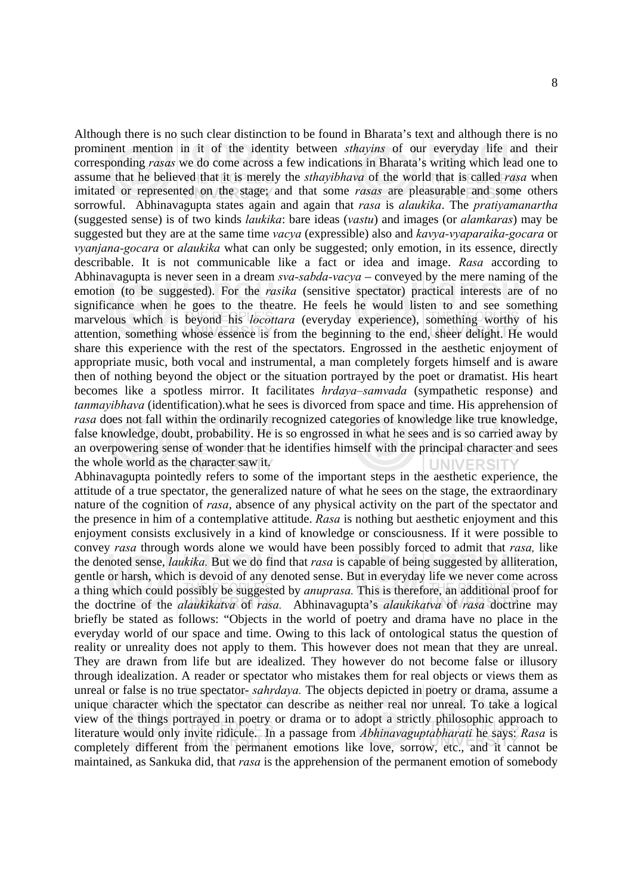Although there is no such clear distinction to be found in Bharata's text and although there is no prominent mention in it of the identity between *sthayins* of our everyday life and their corresponding *rasas* we do come across a few indications in Bharata's writing which lead one to assume that he believed that it is merely the *sthayibhava* of the world that is called *rasa* when imitated or represented on the stage; and that some *rasas* are pleasurable and some others sorrowful. Abhinavagupta states again and again that *rasa* is *alaukika*. The *pratiyamanartha*  (suggested sense) is of two kinds *laukika*: bare ideas (*vastu*) and images (or *alamkaras*) may be suggested but they are at the same time *vacya* (expressible) also and *kavya-vyaparaika-gocara* or *vyanjana-gocara* or *alaukika* what can only be suggested; only emotion, in its essence, directly describable. It is not communicable like a fact or idea and image. *Rasa* according to Abhinavagupta is never seen in a dream *sva-sabda-vacya* – conveyed by the mere naming of the emotion (to be suggested). For the *rasika* (sensitive spectator) practical interests are of no significance when he goes to the theatre. He feels he would listen to and see something marvelous which is beyond his *locottara* (everyday experience), something worthy of his attention, something whose essence is from the beginning to the end, sheer delight. He would share this experience with the rest of the spectators. Engrossed in the aesthetic enjoyment of appropriate music, both vocal and instrumental, a man completely forgets himself and is aware then of nothing beyond the object or the situation portrayed by the poet or dramatist. His heart becomes like a spotless mirror. It facilitates *hrdaya–samvada* (sympathetic response) and *tanmayibhava* (identification).what he sees is divorced from space and time. His apprehension of *rasa* does not fall within the ordinarily recognized categories of knowledge like true knowledge, false knowledge, doubt, probability. He is so engrossed in what he sees and is so carried away by an overpowering sense of wonder that he identifies himself with the principal character and sees the whole world as the character saw it. **IINIVERSIT** 

Abhinavagupta pointedly refers to some of the important steps in the aesthetic experience, the attitude of a true spectator, the generalized nature of what he sees on the stage, the extraordinary nature of the cognition of *rasa*, absence of any physical activity on the part of the spectator and the presence in him of a contemplative attitude. *Rasa* is nothing but aesthetic enjoyment and this enjoyment consists exclusively in a kind of knowledge or consciousness. If it were possible to convey *rasa* through words alone we would have been possibly forced to admit that *rasa,* like the denoted sense, *laukika.* But we do find that *rasa* is capable of being suggested by alliteration, gentle or harsh, which is devoid of any denoted sense. But in everyday life we never come across a thing which could possibly be suggested by *anuprasa.* This is therefore, an additional proof for the doctrine of the *alaukikatva* of *rasa.* Abhinavagupta's *alaukikatva* of *rasa* doctrine may briefly be stated as follows: "Objects in the world of poetry and drama have no place in the everyday world of our space and time. Owing to this lack of ontological status the question of reality or unreality does not apply to them. This however does not mean that they are unreal. They are drawn from life but are idealized. They however do not become false or illusory through idealization. A reader or spectator who mistakes them for real objects or views them as unreal or false is no true spectator- *sahrdaya.* The objects depicted in poetry or drama, assume a unique character which the spectator can describe as neither real nor unreal. To take a logical view of the things portrayed in poetry or drama or to adopt a strictly philosophic approach to literature would only invite ridicule. In a passage from *Abhinavaguptabharati* he says: *Rasa* is completely different from the permanent emotions like love, sorrow, etc., and it cannot be maintained, as Sankuka did, that *rasa* is the apprehension of the permanent emotion of somebody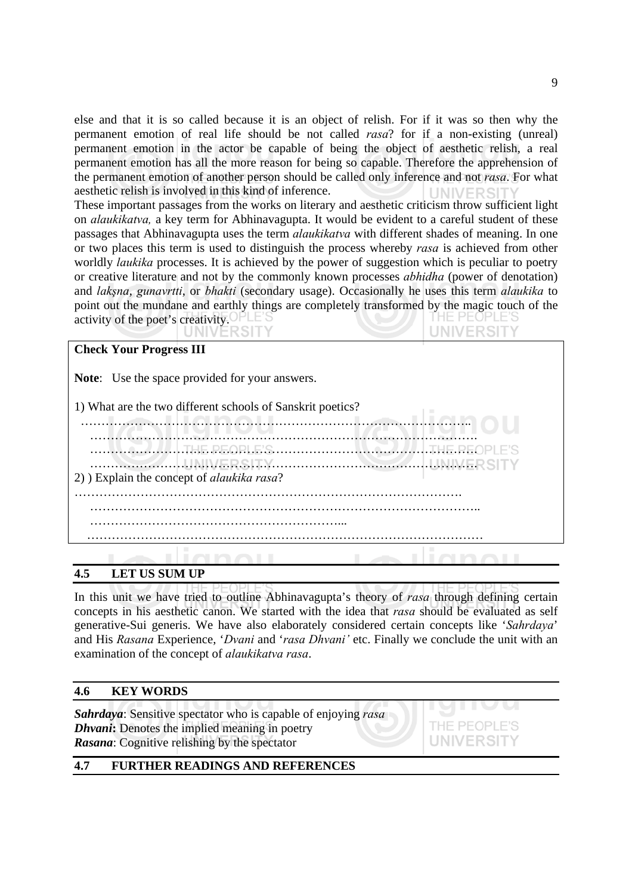else and that it is so called because it is an object of relish. For if it was so then why the permanent emotion of real life should be not called *rasa*? for if a non-existing (unreal) permanent emotion in the actor be capable of being the object of aesthetic relish, a real permanent emotion has all the more reason for being so capable. Therefore the apprehension of the permanent emotion of another person should be called only inference and not *rasa*. For what aesthetic relish is involved in this kind of inference. **UNIVERSI** 

These important passages from the works on literary and aesthetic criticism throw sufficient light on *alaukikatva,* a key term for Abhinavagupta. It would be evident to a careful student of these passages that Abhinavagupta uses the term *alaukikatva* with different shades of meaning. In one or two places this term is used to distinguish the process whereby *rasa* is achieved from other worldly *laukika* processes. It is achieved by the power of suggestion which is peculiar to poetry or creative literature and not by the commonly known processes *abhidha* (power of denotation) and *lakşna*, *gunavrtti*, or *bhakti* (secondary usage). Occasionally he uses this term *alaukika* to point out the mundane and earthly things are completely transformed by the magic touch of the activity of the poet's creativity. 1E PEOPLE'S **UNIVERSITY** 

| <b>Check Your Progress III</b>                             |                                              |  |          |  |  |  |  |
|------------------------------------------------------------|----------------------------------------------|--|----------|--|--|--|--|
| <b>Note:</b> Use the space provided for your answers.      |                                              |  |          |  |  |  |  |
| 1) What are the two different schools of Sanskrit poetics? |                                              |  |          |  |  |  |  |
|                                                            |                                              |  |          |  |  |  |  |
|                                                            | <u> 11 November 1950 en Esterman Novembe</u> |  | $H = PL$ |  |  |  |  |
| 2) Explain the concept of <i>alaukika rasa</i> ?           |                                              |  |          |  |  |  |  |
|                                                            |                                              |  |          |  |  |  |  |
|                                                            |                                              |  |          |  |  |  |  |
|                                                            |                                              |  |          |  |  |  |  |

# **4.5 LET US SUM UP**

In this unit we have tried to outline Abhinavagupta's theory of *rasa* through defining certain concepts in his aesthetic canon. We started with the idea that *rasa* should be evaluated as self generative-Sui generis. We have also elaborately considered certain concepts like '*Sahrdaya*' and His *Rasana* Experience, '*Dvani* and '*rasa Dhvani'* etc. Finally we conclude the unit with an examination of the concept of *alaukikatva rasa*.

#### **4.6 KEY WORDS**

*Sahrdaya*: Sensitive spectator who is capable of enjoying *rasa Dhvani***:** Denotes the implied meaning in poetry *Rasana*: Cognitive relishing by the spectator

# UNIVERSIT

# **4.7 FURTHER READINGS AND REFERENCES**